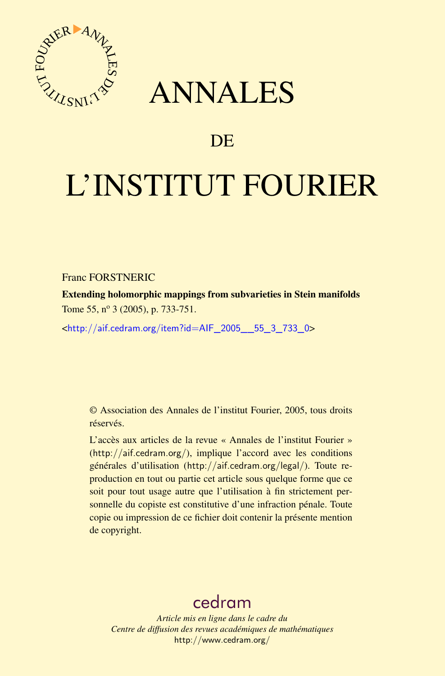



# DE

# L'INSTITUT FOURIER

Franc FORSTNERIC

Extending holomorphic mappings from subvarieties in Stein manifolds Tome 55, nº 3 (2005), p. 733-751.

<[http://aif.cedram.org/item?id=AIF\\_2005\\_\\_55\\_3\\_733\\_0](http://aif.cedram.org/item?id=AIF_2005__55_3_733_0)>

© Association des Annales de l'institut Fourier, 2005, tous droits réservés.

L'accès aux articles de la revue « Annales de l'institut Fourier » (<http://aif.cedram.org/>), implique l'accord avec les conditions générales d'utilisation (<http://aif.cedram.org/legal/>). Toute reproduction en tout ou partie cet article sous quelque forme que ce soit pour tout usage autre que l'utilisation à fin strictement personnelle du copiste est constitutive d'une infraction pénale. Toute copie ou impression de ce fichier doit contenir la présente mention de copyright.

# [cedram](http://www.cedram.org/)

*Article mis en ligne dans le cadre du Centre de diffusion des revues académiques de mathématiques* <http://www.cedram.org/>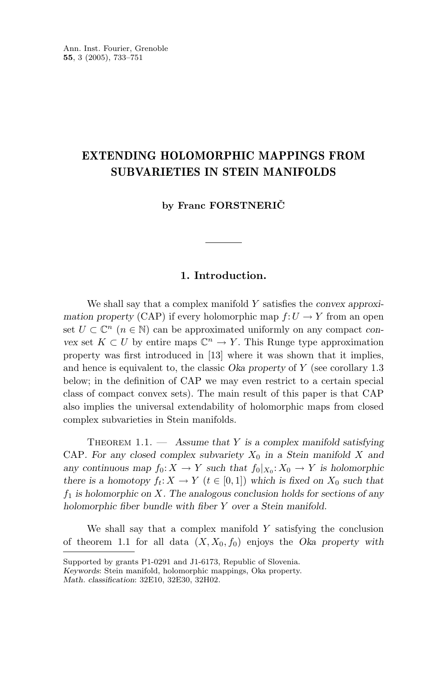# **EXTENDING HOLOMORPHIC MAPPINGS FROM SUBVARIETIES IN STEIN MANIFOLDS**

**by Franc FORSTNERICˇ**

# **1. Introduction.**

We shall say that a complex manifold *Y* satisfies the *convex approximation property* (CAP) if every holomorphic map  $f: U \to Y$  from an open set  $U \subset \mathbb{C}^n$  ( $n \in \mathbb{N}$ ) can be approximated uniformly on any compact *convex* set  $K \subset U$  by entire maps  $\mathbb{C}^n \to Y$ . This Runge type approximation property was first introduced in [13] where it was shown that it implies, and hence is equivalent to, the classic *Oka property* of *Y* (see corollary 1.3 below; in the definition of CAP we may even restrict to a certain special class of compact convex sets). The main result of this paper is that CAP also implies the universal extendability of holomorphic maps from closed complex subvarieties in Stein manifolds.

Theorem 1.1. — *Assume that Y is a complex manifold satisfying* CAP. For any closed complex subvariety  $X_0$  in a Stein manifold X and *any continuous map*  $f_0: X \to Y$  *such that*  $f_0|_{X_0}: X_0 \to Y$  *is holomorphic there is a homotopy*  $f_t: X \to Y$  ( $t \in [0,1]$ ) which is fixed on  $X_0$  such that *f*<sup>1</sup> *is holomorphic on X. The analogous conclusion holds for sections of any holomorphic fiber bundle with fiber Y over a Stein manifold.*

We shall say that a complex manifold *Y* satisfying the conclusion of theorem 1.1 for all data  $(X, X_0, f_0)$  enjoys the *Oka property with* 

Supported by grants P1-0291 and J1-6173, Republic of Slovenia.

*Keywords*: Stein manifold, holomorphic mappings, Oka property.

*Math. classification*: 32E10, 32E30, 32H02.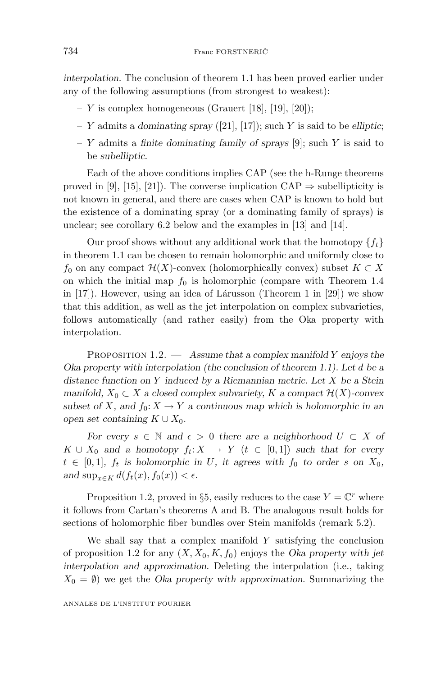*interpolation*. The conclusion of theorem 1.1 has been proved earlier under any of the following assumptions (from strongest to weakest):

- $Y$  is complex homogeneous (Grauert [18], [19], [20]);
- *Y* admits a *dominating spray* ([21], [17]); such *Y* is said to be *elliptic*;
- *Y* admits a *finite dominating family of sprays* [9]; such *Y* is said to be *subelliptic*.

Each of the above conditions implies CAP (see the h-Runge theorems proved in [9], [15], [21]). The converse implication  $CAP \Rightarrow$  subellipticity is not known in general, and there are cases when CAP is known to hold but the existence of a dominating spray (or a dominating family of sprays) is unclear; see corollary 6.2 below and the examples in [13] and [14].

Our proof shows without any additional work that the homotopy  $\{f_t\}$ in theorem 1.1 can be chosen to remain holomorphic and uniformly close to *f*<sup>0</sup> on any compact  $H(X)$ -convex (holomorphically convex) subset *K* ⊂ *X* on which the initial map  $f_0$  is holomorphic (compare with Theorem 1.4 in  $[17]$ . However, using an idea of Lárusson (Theorem 1 in  $[29]$ ) we show that this addition, as well as the jet interpolation on complex subvarieties, follows automatically (and rather easily) from the Oka property with interpolation.

Proposition 1.2. — *Assume that a complex manifold Y enjoys the Oka property with interpolation (the conclusion of theorem 1.1). Let d be a distance function on Y induced by a Riemannian metric. Let X be a Stein manifold,*  $X_0 \subset X$  *a closed complex subvariety,*  $K$  *a compact*  $\mathcal{H}(X)$ *-convex subset of X*, and  $f_0: X \to Y$  *a continuous map which is holomorphic in an open set containing*  $K \cup X_0$ *.* 

*For every*  $s \in \mathbb{N}$  and  $\epsilon > 0$  there are a neighborhood  $U \subset X$  of  $K \cup X_0$  *and a homotopy*  $f_t: X \to Y$  ( $t \in [0,1]$ ) *such that for every*  $t \in [0,1]$ ,  $f_t$  is holomorphic in *U*, it agrees with  $f_0$  to order *s* on  $X_0$ , *and*  $\sup_{x \in K} d(f_t(x), f_0(x)) < \epsilon$ *.* 

Proposition 1.2, proved in §5, easily reduces to the case  $Y = \mathbb{C}^r$  where it follows from Cartan's theorems A and B. The analogous result holds for sections of holomorphic fiber bundles over Stein manifolds (remark 5.2).

We shall say that a complex manifold *Y* satisfying the conclusion of proposition 1.2 for any  $(X, X_0, K, f_0)$  enjoys the *Oka property with jet interpolation and approximation*. Deleting the interpolation (i.e., taking  $X_0 = \emptyset$  we get the *Oka property with approximation*. Summarizing the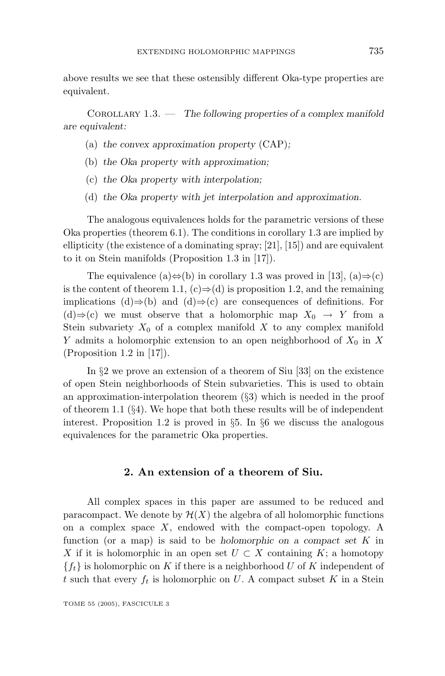above results we see that these ostensibly different Oka-type properties are equivalent.

Corollary 1.3. — *The following properties of a complex manifold are equivalent:*

- (a) *the convex approximation property* (CAP)*;*
- (b) *the Oka property with approximation;*
- (c) *the Oka property with interpolation;*
- (d) *the Oka property with jet interpolation and approximation.*

The analogous equivalences holds for the parametric versions of these Oka properties (theorem 6.1). The conditions in corollary 1.3 are implied by ellipticity (the existence of a dominating spray; [21], [15]) and are equivalent to it on Stein manifolds (Proposition 1.3 in [17]).

The equivalence (a) $\Leftrightarrow$ (b) in corollary 1.3 was proved in [13], (a) $\Rightarrow$ (c) is the content of theorem 1.1,  $(c) \Rightarrow (d)$  is proposition 1.2, and the remaining implications (d)⇒(b) and (d)⇒(c) are consequences of definitions. For (d)⇒(c) we must observe that a holomorphic map  $X_0 \rightarrow Y$  from a Stein subvariety  $X_0$  of a complex manifold X to any complex manifold *Y* admits a holomorphic extension to an open neighborhood of  $X_0$  in X (Proposition 1.2 in [17]).

In §2 we prove an extension of a theorem of Siu [33] on the existence of open Stein neighborhoods of Stein subvarieties. This is used to obtain an approximation-interpolation theorem (§3) which is needed in the proof of theorem 1.1 (§4). We hope that both these results will be of independent interest. Proposition 1.2 is proved in §5. In §6 we discuss the analogous equivalences for the parametric Oka properties.

### **2. An extension of a theoremof Siu.**

All complex spaces in this paper are assumed to be reduced and paracompact. We denote by  $\mathcal{H}(X)$  the algebra of all holomorphic functions on a complex space *X*, endowed with the compact-open topology. A function (or a map) is said to be *holomorphic on a compact set K* in *X* if it is holomorphic in an open set  $U \subset X$  containing  $K$ ; a homotopy  ${f_t}$  is holomorphic on *K* if there is a neighborhood *U* of *K* independent of *t* such that every  $f_t$  is holomorphic on *U*. A compact subset *K* in a Stein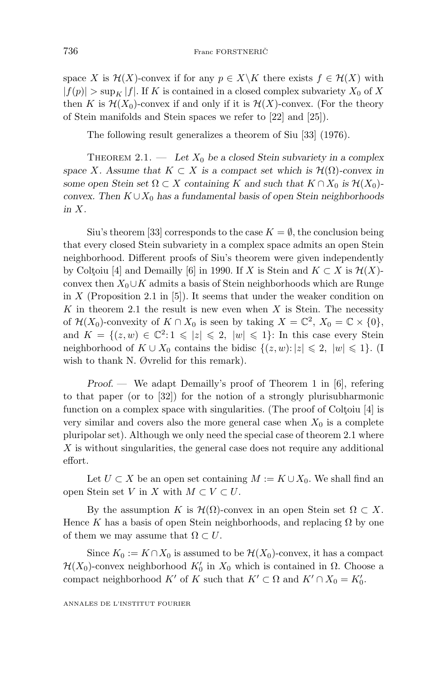space *X* is  $\mathcal{H}(X)$ -convex if for any  $p \in X \backslash K$  there exists  $f \in \mathcal{H}(X)$  with  $|f(p)| > \sup_K |f|$ . If *K* is contained in a closed complex subvariety  $X_0$  of X then *K* is  $\mathcal{H}(X_0)$ -convex if and only if it is  $\mathcal{H}(X)$ -convex. (For the theory of Stein manifolds and Stein spaces we refer to [22] and [25]).

The following result generalizes a theorem of Siu [33] (1976).

THEOREM 2.1. — Let  $X_0$  be a closed Stein subvariety in a complex *space X.* Assume that  $K \subset X$  *is a compact set which is*  $\mathcal{H}(\Omega)$ *-convex in some open Stein set*  $\Omega \subset X$  *containing K* and such that  $K \cap X_0$  *is*  $\mathcal{H}(X_0)$ *convex. Then*  $K \cup X_0$  *has a fundamental basis of open Stein neighborhoods in X.*

Siu's theorem [33] corresponds to the case  $K = \emptyset$ , the conclusion being that every closed Stein subvariety in a complex space admits an open Stein neighborhood. Different proofs of Siu's theorem were given independently by Coltoiu [4] and Demailly [6] in 1990. If *X* is Stein and  $K \subset X$  is  $\mathcal{H}(X)$ convex then  $X_0 \cup K$  admits a basis of Stein neighborhoods which are Runge in *X* (Proposition 2.1 in [5]). It seems that under the weaker condition on *K* in theorem 2.1 the result is new even when *X* is Stein. The necessity of  $\mathcal{H}(X_0)$ -convexity of  $K \cap X_0$  is seen by taking  $X = \mathbb{C}^2$ ,  $X_0 = \mathbb{C} \times \{0\}$ , and  $K = \{(z, w) \in \mathbb{C}^2 : 1 \leqslant |z| \leqslant 2, |w| \leqslant 1\}$ : In this case every Stein neighborhood of  $K \cup X_0$  contains the bidisc  $\{(z, w): |z| \leq 2, |w| \leq 1\}$ . (I wish to thank N. Øvrelid for this remark).

*Proof*. — We adapt Demailly's proof of Theorem 1 in [6], refering to that paper (or to [32]) for the notion of a strongly plurisubharmonic function on a complex space with singularities. (The proof of Coltoiu  $[4]$  is very similar and covers also the more general case when  $X_0$  is a complete pluripolar set). Although we only need the special case of theorem 2.1 where *X* is without singularities, the general case does not require any additional effort.

Let  $U \subset X$  be an open set containing  $M := K \cup X_0$ . We shall find an open Stein set *V* in *X* with  $M \subset V \subset U$ .

By the assumption *K* is  $\mathcal{H}(\Omega)$ -convex in an open Stein set  $\Omega \subset X$ . Hence K has a basis of open Stein neighborhoods, and replacing  $\Omega$  by one of them we may assume that  $\Omega \subset U$ .

Since  $K_0 := K \cap X_0$  is assumed to be  $\mathcal{H}(X_0)$ -convex, it has a compact  $\mathcal{H}(X_0)$ -convex neighborhood  $K'_0$  in  $X_0$  which is contained in  $\Omega$ . Choose a compact neighborhood  $K'$  of  $K$  such that  $K' \subset \Omega$  and  $K' \cap X_0 = K'_0$ .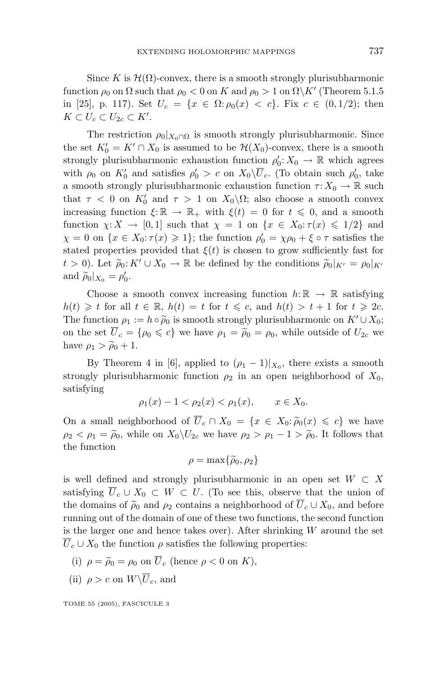Since K is  $\mathcal{H}(\Omega)$ -convex, there is a smooth strongly plurisubharmonic function  $\rho_0$  on  $\Omega$  such that  $\rho_0 < 0$  on  $K$  and  $\rho_0 > 1$  on  $\Omega \backslash K'$  (Theorem 5.1.5) in [25], p. 117). Set  $U_c = \{x \in \Omega : \rho_0(x) < c\}$ . Fix  $c \in (0, 1/2)$ ; then  $K \subset U_c \subset U_{2c} \subset K'.$ 

The restriction  $\rho_0|_{X_0 \cap \Omega}$  is smooth strongly plurisubharmonic. Since the set  $K'_0 = K' \cap X_0$  is assumed to be  $\mathcal{H}(X_0)$ -convex, there is a smooth strongly plurisubharmonic exhaustion function  $\rho'_0: X_0 \to \mathbb{R}$  which agrees with  $\rho_0$  on  $K'_0$  and satisfies  $\rho'_0 > c$  on  $X_0\setminus\overline{U}_c$ . (To obtain such  $\rho'_0$ , take a smooth strongly plurisubharmonic exhaustion function  $\tau: X_0 \to \mathbb{R}$  such that  $\tau$  < 0 on  $K'_0$  and  $\tau$  > 1 on  $X_0 \setminus \Omega$ ; also choose a smooth convex increasing function  $\xi: \mathbb{R} \to \mathbb{R}_+$  with  $\xi(t) = 0$  for  $t \leq 0$ , and a smooth function  $\chi: X \to [0,1]$  such that  $\chi = 1$  on  $\{x \in X_0 : \tau(x) \leq 1/2\}$  and  $\chi = 0$  on  $\{x \in X_0 : \tau(x) \geq 1\}$ ; the function  $\rho'_0 = \chi \rho_0 + \xi \circ \tau$  satisfies the stated properties provided that  $\xi(t)$  is chosen to grow sufficiently fast for  $t > 0$ ). Let  $\tilde{\rho}_0: K' \cup X_0 \to \mathbb{R}$  be defined by the conditions  $\tilde{\rho}_0|_{K'} = \rho_0|_{K'}$ <br>and  $\tilde{\rho}_0|_{X'} = \rho'_0$ and  $\widetilde{\rho}_0|_{X_0} = \rho'_0.$ 

Choose a smooth convex increasing function  $h: \mathbb{R} \to \mathbb{R}$  satisfying  $h(t) \geq t$  for all  $t \in \mathbb{R}$ ,  $h(t) = t$  for  $t \leq c$ , and  $h(t) > t + 1$  for  $t \geq 2c$ . The function  $\rho_1 := h \circ \tilde{\rho}_0$  is smooth strongly plurisubharmonic on  $K' \cup X_0$ ;<br>on the set  $\overline{U} = I \circ \sim \mathcal{L}$  we have  $\overline{\mathcal{L}} = \tilde{\rho}_0 = \overline{\mathcal{L}} = \rho_0$ , while outside of  $U_0$ , we on the set  $\overline{U}_c = \{\rho_0 \leq c\}$  we have  $\rho_1 = \tilde{\rho}_0 = \rho_0$ , while outside of  $U_{2c}$  we have  $\rho_1 > \tilde{\rho}_0 + 1$ have  $\rho_1 > \tilde{\rho}_0 + 1$ .

By Theorem 4 in [6], applied to  $(\rho_1 - 1)|_{X_0}$ , there exists a smooth strongly plurisubharmonic function  $\rho_2$  in an open neighborhood of  $X_0$ , satisfying

$$
\rho_1(x) - 1 < \rho_2(x) < \rho_1(x), \qquad x \in X_0.
$$

On a small neighborhood of  $\overline{U}_c \cap X_0 = \{x \in X_0 : \widetilde{\rho}_0(x) \leq c\}$  we have  $\alpha < \alpha - \widetilde{\alpha}$ , while on  $X_0 \setminus U_0$  we have  $\alpha > \alpha - 1 > \widetilde{\alpha}$ . It follows that  $\rho_2 < \rho_1 = \tilde{\rho}_0$ , while on  $X_0 \backslash U_{2c}$  we have  $\rho_2 > \rho_1 - 1 > \tilde{\rho}_0$ . It follows that the function the function

$$
\rho = \max\{\widetilde{\rho}_0, \rho_2\}
$$

is well defined and strongly plurisubharmonic in an open set  $W \subset X$ satisfying  $\overline{U}_c \cup X_0 \subset W \subset U$ . (To see this, observe that the union of the domains of  $\tilde{\rho}_0$  and  $\rho_2$  contains a neighborhood of  $U_c \cup X_0$ , and before<br>running out of the domain of one of these two functions, the second function running out of the domain of one of these two functions, the second function is the larger one and hence takes over). After shrinking *W* around the set  $\overline{U}_c \cup X_0$  the function  $\rho$  satisfies the following properties:

- (i)  $\rho = \tilde{\rho}_0 = \rho_0$  on  $U_c$  (hence  $\rho < 0$  on  $K$ ),
- (ii)  $\rho > c$  on  $W\backslash\overline{U}_c$ , and

TOME 55 (2005), FASCICULE 3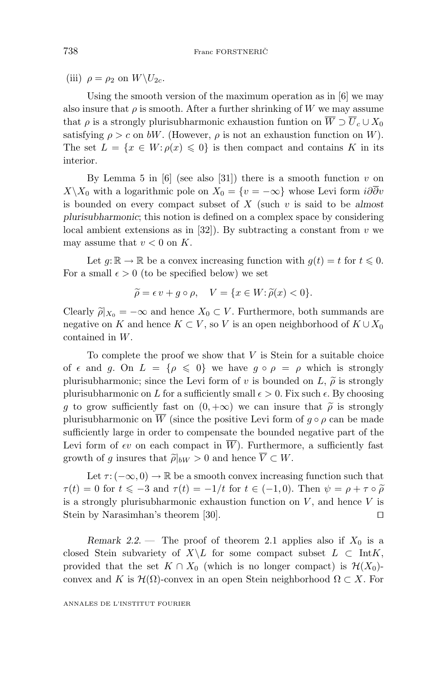(iii)  $\rho = \rho_2$  on  $W \backslash U_{2c}$ .

Using the smooth version of the maximum operation as in [6] we may also insure that  $\rho$  is smooth. After a further shrinking of W we may assume that  $\rho$  is a strongly plurisubharmonic exhaustion funtion on  $\overline{W} \supset \overline{U}_c \cup X_0$ satisfying  $\rho > c$  on *bW*. (However,  $\rho$  is not an exhaustion function on *W*). The set  $L = \{x \in W : \rho(x) \leq 0\}$  is then compact and contains K in its interior.

By Lemma 5 in  $[6]$  (see also  $[31]$ ) there is a smooth function  $v$  on *X* \ *X*<sub>0</sub> with a logarithmic pole on *X*<sub>0</sub> = {*v* = −∞} whose Levi form *i∂∂v* is bounded on every compact subset of *X* (such *v* is said to be *almost plurisubharmonic*; this notion is defined on a complex space by considering local ambient extensions as in [32]). By subtracting a constant from *v* we may assume that  $v < 0$  on  $K$ .

Let  $g: \mathbb{R} \to \mathbb{R}$  be a convex increasing function with  $g(t) = t$  for  $t \leq 0$ . For a small  $\epsilon > 0$  (to be specified below) we set

$$
\widetilde{\rho} = \epsilon v + g \circ \rho, \quad V = \{x \in W : \widetilde{\rho}(x) < 0\}.
$$

Clearly  $\tilde{\rho}|_{X_0} = -\infty$  and hence  $X_0 \subset V$ . Furthermore, both summands are negative on  $K$  and hence  $K \subset V$  so  $V$  is an open neighborhood of  $K \cup X_0$ negative on *K* and hence  $K \subset V$ , so *V* is an open neighborhood of  $K \cup X_0$ contained in *W*.

To complete the proof we show that *V* is Stein for a suitable choice of  $\epsilon$  and *g*. On  $L = {\rho \leq 0}$  we have  $g \circ \rho = \rho$  which is strongly plurisubharmonic; since the Levi form of *v* is bounded on *L*,  $\tilde{\rho}$  is strongly<br>plurisubharmonic on *L* for a sufficiently small  $\epsilon > 0$ . Fix such  $\epsilon$ . By choosing plurisubharmonic on *L* for a sufficiently small  $\epsilon > 0$ . Fix such  $\epsilon$ . By choosing *g* to grow sufficiently fast on  $(0, +\infty)$  we can insure that  $\tilde{\rho}$  is strongly plurisubharmonic on  $\overline{W}$  (since the positive Levi form of *a* o *a* can be made plurisubharmonic on  $\overline{W}$  (since the positive Levi form of  $q \circ \rho$  can be made sufficiently large in order to compensate the bounded negative part of the Levi form of  $\epsilon v$  on each compact in  $\overline{W}$ ). Furthermore, a sufficiently fast growth of *g* insures that  $\tilde{\rho}|_{bW} > 0$  and hence  $V \subset W$ .

Let  $\tau$  : ( $-\infty$ , 0)  $\to \mathbb{R}$  be a smooth convex increasing function such that  $\tau(t) = 0$  for  $t \le -3$  and  $\tau(t) = -1/t$  for  $t \in (-1,0)$ . Then  $\psi = \rho + \tau \circ \tilde{\rho}$ <br>is a strongly plurisubharmonic expansion function on *V* and hance *V* is is a strongly plurisubharmonic exhaustion function on  $V$ , and hence  $V$  is Stein by Narasimhan's theorem [30].

*Remark 2.2.* — The proof of theorem 2.1 applies also if  $X_0$  is a closed Stein subvariety of  $X\backslash L$  for some compact subset  $L \subset \text{Int } K$ , provided that the set  $K \cap X_0$  (which is no longer compact) is  $\mathcal{H}(X_0)$ convex and *K* is  $\mathcal{H}(\Omega)$ -convex in an open Stein neighborhood  $\Omega \subset X$ . For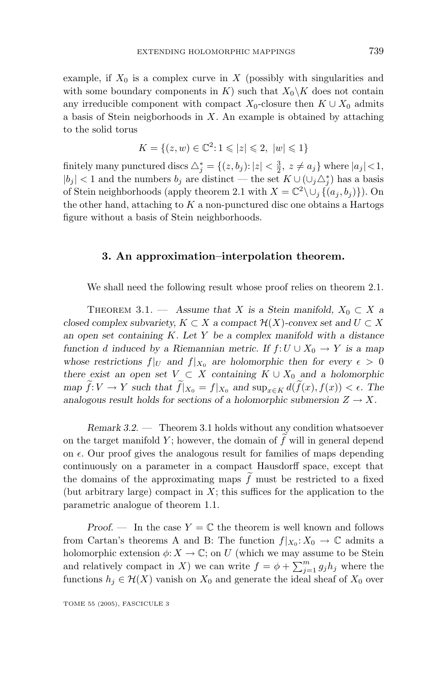example, if  $X_0$  is a complex curve in  $X$  (possibly with singularities and with some boundary components in *K*) such that  $X_0 \backslash K$  does not contain any irreducible component with compact  $X_0$ -closure then  $K \cup X_0$  admits a basis of Stein neigborhoods in *X*. An example is obtained by attaching to the solid torus

$$
K = \{(z, w) \in \mathbb{C}^2 : 1 \leqslant |z| \leqslant 2, \ |w| \leqslant 1\}
$$

finitely many punctured discs  $\triangle_j^* = \{(z, b_j) : |z| < \frac{3}{2}, z \neq a_j\}$  where  $|a_j| < 1$ ,  $|b_j|$  < 1 and the numbers  $b_j$  are distinct — the set  $K ∪ (\cup_j ∆_j^*)$  has a basis of Stein neighborhoods (apply theorem 2.1 with  $X = \mathbb{C}^2 \setminus \cup_i \{ (a_i, b_i) \}$ ). On the other hand, attaching to *K* a non-punctured disc one obtains a Hartogs figure without a basis of Stein neighborhoods.

#### **3. An approximation–interpolation theorem.**

We shall need the following result whose proof relies on theorem 2.1.

THEOREM 3.1. — Assume that *X* is a Stein manifold,  $X_0 \subset X$  a *closed complex subvariety,*  $K \subset X$  *a compact*  $\mathcal{H}(X)$ *-convex set and*  $U \subset X$ *an open set containing K. Let Y be a complex manifold with a distance function d induced by a Riemannian metric. If*  $f: U \cup X_0 \rightarrow Y$  *is a map* whose restrictions  $f|_U$  and  $f|_{X_0}$  are holomorphic then for every  $\epsilon > 0$ *there exist an open set*  $V \subset X$  *containing*  $K \cup X_0$  *and a holomorphic*  $\lim_{x \to \infty} f: V \to Y$  such that  $f|_{X_0} = f|_{X_0}$  and  $\lim_{x \in K} d(f(x), f(x)) < \epsilon$ . The  $\lim_{T \to \infty} \int_{0}^{T} \int_{0}^{T} \int_{0}^{T} f(x) \, dx$  and  $\lim_{T \to \infty} \int_{0}^{T} f(x) \, dx$ ,  $\lim_{T \to \infty} \int_{0}^{T} f(x) \, dx$ ,  $\lim_{T \to \infty} \int_{0}^{T} f(x) \, dx$ ,  $\lim_{T \to \infty} \int_{0}^{T} f(x) \, dx$ ,  $\lim_{T \to \infty} \int_{0}^{T} f(x) \, dx$ ,  $\lim_{T \to \infty} \int_{0}^{T} f(x) \, dx$ ,  $\lim_{T \$ 

*Remark 3.2*. — Theorem 3.1 holds without any condition whatsoever on the target manifold *Y* ; however, the domain of *f* will in general depend on  $\epsilon$ . Our proof gives the analogous result for families of maps depending continuously on a parameter in a compact Hausdorff space, except that the domains of the approximating maps  $f$  must be restricted to a fixed (but arbitrary large) compact in  $X$ ; this suffices for the application to the parametric analogue of theorem 1.1.

*Proof.* — In the case  $Y = \mathbb{C}$  the theorem is well known and follows from Cartan's theorems A and B: The function  $f|_{X_0}: X_0 \to \mathbb{C}$  admits a holomorphic extension  $\phi: X \to \mathbb{C}$ ; on *U* (which we may assume to be Stein and relatively compact in *X*) we can write  $f = \phi + \sum_{j=1}^{m} g_j h_j$  where the functions  $h_j \in \mathcal{H}(X)$  vanish on  $X_0$  and generate the ideal sheaf of  $X_0$  over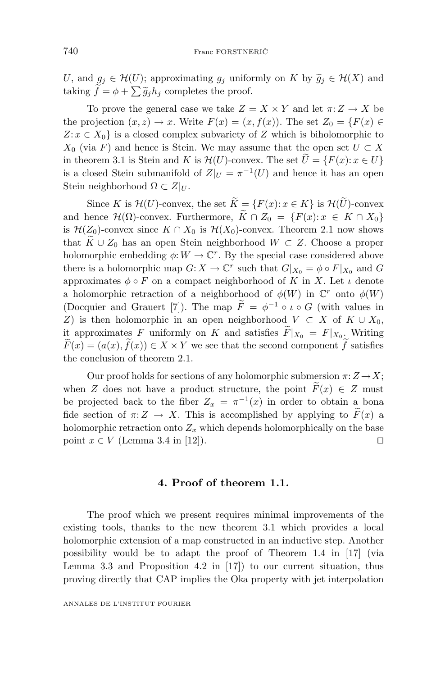*U*, and  $g_j \in \mathcal{H}(U)$ ; approximating  $g_j$  uniformly on *K* by  $\widetilde{g}_j \in \mathcal{H}(X)$  and taking  $\widetilde{f} - \phi + \sum \widetilde{g}_j$  completes the proof taking  $f = \phi + \sum \tilde{g}_j h_j$  completes the proof.

To prove the general case we take  $Z = X \times Y$  and let  $\pi: Z \to X$  be the projection  $(x, z) \to x$ . Write  $F(x) = (x, f(x))$ . The set  $Z_0 = \{F(x) \in$  $Z: x \in X_0$  is a closed complex subvariety of *Z* which is biholomorphic to *X*<sub>0</sub> (via *F*) and hence is Stein. We may assume that the open set  $U \subset X$ in theorem 3.1 is Stein and *K* is  $\mathcal{H}(U)$ -convex. The set  $U = \{F(x): x \in U\}$ is a closed Stein submanifold of  $Z|_U = \pi^{-1}(U)$  and hence it has an open Stein neighborhood  $\Omega \subset Z|_U$ .

Since *K* is  $\mathcal{H}(U)$ -convex, the set  $K = \{F(x): x \in K\}$  is  $\mathcal{H}(U)$ -convex and hence  $\mathcal{H}(\Omega)$ -convex. Furthermore,  $K \cap Z_0 = \{F(x): x \in K \cap X_0\}$ is  $\mathcal{H}(Z_0)$ -convex since  $K \cap X_0$  is  $\mathcal{H}(X_0)$ -convex. Theorem 2.1 now shows that  $K \cup Z_0$  has an open Stein neighborhood  $W \subset Z$ . Choose a proper<br>below write such adding to  $W \subset T$ . But he may integrated also such and a heavy holomorphic embedding  $\phi: W \to \mathbb{C}^r$ . By the special case considered above there is a holomorphic map  $G: X \to \mathbb{C}^r$  such that  $G|_{X_0} = \phi \circ F|_{X_0}$  and  $G$ approximates  $\phi \circ F$  on a compact neighborhood of *K* in *X*. Let *ι* denote a holomorphic retraction of a neighborhood of  $\phi(W)$  in  $\mathbb{C}^r$  onto  $\phi(W)$ (Docquier and Grauert [7]). The map  $\overline{F} = \phi^{-1} \circ \iota \circ G$  (with values in *Z*) is then holomorphic in an open neighborhood  $V \subset X$  of  $K \cup X_0$ , it approximates *F* uniformly on *K* and satisfies  $F|_{X_0} = F|_{X_0}$ . Writing  $F(x) = (a(x), f(x)) \in X \times Y$  we see that the second component *f* satisfies the conclusion of theorem 2.1.

Our proof holds for sections of any holomorphic submersion  $\pi: Z \to X$ ; when *Z* does not have a product structure, the point  $F(x) \in Z$  must be projected back to the fiber  $Z_x = \pi^{-1}(x)$  in order to obtain a bona fide section of  $\pi: Z \to X$ . This is accomplished by applying to  $F(x)$  a holomorphic retraction onto  $Z_x$  which depends holomorphically on the base point  $x \in V$  (Lemma 3.4 in [12]).

## **4. Proof of theorem1.1.**

The proof which we present requires minimal improvements of the existing tools, thanks to the new theorem 3.1 which provides a local holomorphic extension of a map constructed in an inductive step. Another possibility would be to adapt the proof of Theorem 1.4 in [17] (via Lemma 3.3 and Proposition 4.2 in [17]) to our current situation, thus proving directly that CAP implies the Oka property with jet interpolation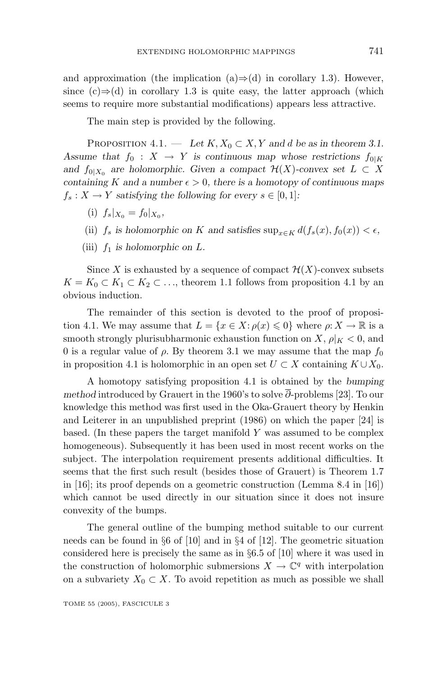and approximation (the implication (a)⇒(d) in corollary 1.3). However, since  $(c) \Rightarrow d$  in corollary 1.3 is quite easy, the latter approach (which seems to require more substantial modifications) appears less attractive.

The main step is provided by the following.

PROPOSITION  $4.1.$  — *Let*  $K, X_0 \subset X, Y$  *and d be as in theorem 3.1. Assume that*  $f_0: X \to Y$  *is continuous map whose restrictions*  $f_{0|K}$ *and*  $f_{0|X_0}$  *are holomorphic. Given a compact*  $\mathcal{H}(X)$ *-convex set*  $L \subset X$ *containing K* and a number  $\epsilon > 0$ , there is a homotopy of continuous maps  $f_s: X \to Y$  *satisfying the following for every*  $s \in [0, 1]$ *:* 

- (i)  $f_s|_{X_0} = f_0|_{X_0}$
- (ii)  $f_s$  is holomorphic on *K* and satisfies  $\sup_{x \in K} d(f_s(x), f_0(x)) < \epsilon$ ,
- (iii)  $f_1$  *is holomorphic on*  $L$ *.*

Since X is exhausted by a sequence of compact  $\mathcal{H}(X)$ -convex subsets  $K = K_0 \subset K_1 \subset K_2 \subset \ldots$ , theorem 1.1 follows from proposition 4.1 by an obvious induction.

The remainder of this section is devoted to the proof of proposition 4.1. We may assume that  $L = \{x \in X : \rho(x) \leq 0\}$  where  $\rho: X \to \mathbb{R}$  is a smooth strongly plurisubharmonic exhaustion function on *X*,  $\rho|_K < 0$ , and 0 is a regular value of  $\rho$ . By theorem 3.1 we may assume that the map  $f_0$ in proposition 4.1 is holomorphic in an open set *U* ⊂ *X* containing *K* ∪*X*0.

A homotopy satisfying proposition 4.1 is obtained by the *bumping method* introduced by Grauert in the 1960's to solve *∂*-problems [23]. To our knowledge this method was first used in the Oka-Grauert theory by Henkin and Leiterer in an unpublished preprint (1986) on which the paper [24] is based. (In these papers the target manifold *Y* was assumed to be complex homogeneous). Subsequently it has been used in most recent works on the subject. The interpolation requirement presents additional difficulties. It seems that the first such result (besides those of Grauert) is Theorem 1.7 in [16]; its proof depends on a geometric construction (Lemma 8.4 in [16]) which cannot be used directly in our situation since it does not insure convexity of the bumps.

The general outline of the bumping method suitable to our current needs can be found in  $\S 6$  of [10] and in  $\S 4$  of [12]. The geometric situation considered here is precisely the same as in §6.5 of [10] where it was used in the construction of holomorphic submersions  $X \to \mathbb{C}^q$  with interpolation on a subvariety  $X_0 \subset X$ . To avoid repetition as much as possible we shall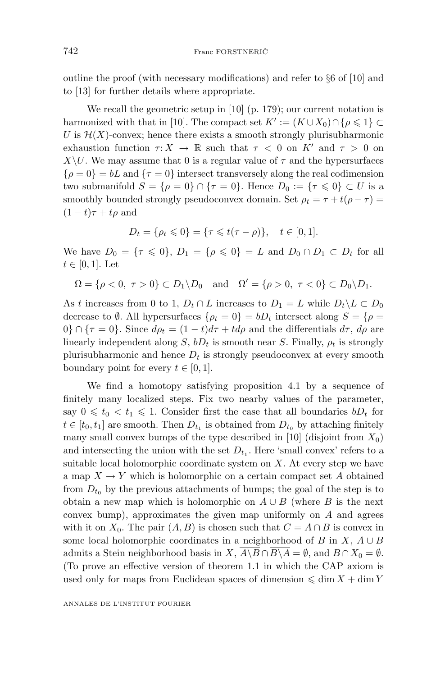outline the proof (with necessary modifications) and refer to §6 of [10] and to [13] for further details where appropriate.

We recall the geometric setup in [10] (p. 179); our current notation is harmonized with that in [10]. The compact set  $K' := (K \cup X_0) \cap \{ \rho \leq 1 \} \subset$ *U* is  $H(X)$ -convex; hence there exists a smooth strongly plurisubharmonic exhaustion function  $\tau: X \to \mathbb{R}$  such that  $\tau < 0$  on K<sup>t</sup> and  $\tau > 0$  on *X*\*U*. We may assume that 0 is a regular value of  $\tau$  and the hypersurfaces  $\{\rho = 0\} = bL$  and  $\{\tau = 0\}$  intersect transversely along the real codimension two submanifold  $S = {\rho = 0} \cap {\tau = 0}$ . Hence  $D_0 := {\tau \leq 0} \subset U$  is a smoothly bounded strongly pseudoconvex domain. Set  $\rho_t = \tau + t(\rho - \tau)$  $(1-t)\tau + t\rho$  and

$$
D_t = \{ \rho_t \leq 0 \} = \{ \tau \leq t(\tau - \rho) \}, \quad t \in [0, 1].
$$

We have  $D_0 = \{ \tau \le 0 \}$ ,  $D_1 = \{ \rho \le 0 \} = L$  and  $D_0 \cap D_1 \subset D_t$  for all  $t \in [0, 1]$ . Let

$$
\Omega = \{ \rho < 0, \ \tau > 0 \} \subset D_1 \backslash D_0 \quad \text{and} \quad \Omega' = \{ \rho > 0, \ \tau < 0 \} \subset D_0 \backslash D_1.
$$

As *t* increases from 0 to 1,  $D_t \cap L$  increases to  $D_1 = L$  while  $D_t \setminus L \subset D_0$ decrease to  $\emptyset$ . All hypersurfaces  $\{\rho_t = 0\} = bD_t$  intersect along  $S = \{\rho =$  $0$ }  $\cap$  { $\tau = 0$ }. Since  $d\rho_t = (1 - t)d\tau + td\rho$  and the differentials  $d\tau$ ,  $d\rho$  are linearly independent along *S*,  $bD_t$  is smooth near *S*. Finally,  $\rho_t$  is strongly plurisubharmonic and hence  $D_t$  is strongly pseudoconvex at every smooth boundary point for every  $t \in [0, 1]$ .

We find a homotopy satisfying proposition 4.1 by a sequence of finitely many localized steps. Fix two nearby values of the parameter, say  $0 \leq t_0 < t_1 \leq 1$ . Consider first the case that all boundaries  $bD_t$  for  $t \in [t_0, t_1]$  are smooth. Then  $D_{t_1}$  is obtained from  $D_{t_0}$  by attaching finitely many small convex bumps of the type described in [10] (disjoint from  $X_0$ ) and intersecting the union with the set  $D_{t_1}$ . Here 'small convex' refers to a suitable local holomorphic coordinate system on *X*. At every step we have a map  $X \to Y$  which is holomorphic on a certain compact set A obtained from  $D_{t_0}$  by the previous attachments of bumps; the goal of the step is to obtain a new map which is holomorphic on  $A \cup B$  (where *B* is the next convex bump), approximates the given map uniformly on *A* and agrees with it on  $X_0$ . The pair  $(A, B)$  is chosen such that  $C = A \cap B$  is convex in some local holomorphic coordinates in a neighborhood of *B* in  $X$ ,  $A \cup B$ admits a Stein neighborhood basis in *X*,  $\overline{A \setminus B} \cap \overline{B \setminus A} = \emptyset$ , and  $B \cap X_0 = \emptyset$ . (To prove an effective version of theorem 1.1 in which the CAP axiom is used only for maps from Euclidean spaces of dimension  $\leq \dim X + \dim Y$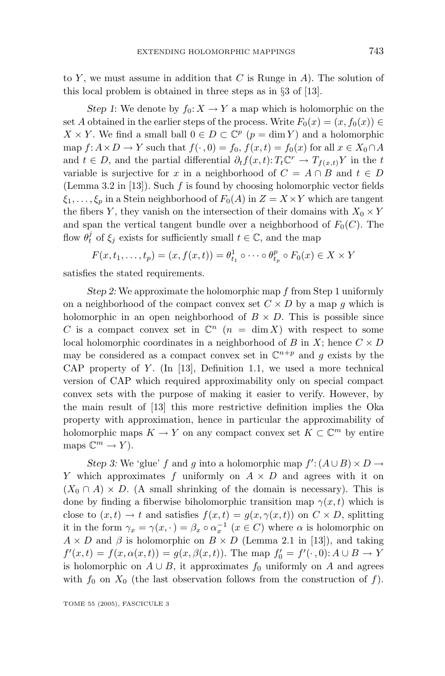to *Y* , we must assume in addition that *C* is Runge in *A*). The solution of this local problem is obtained in three steps as in §3 of [13].

*Step 1*: We denote by  $f_0: X \to Y$  a map which is holomorphic on the set *A* obtained in the earlier steps of the process. Write  $F_0(x) = (x, f_0(x)) \in$  $X \times Y$ . We find a small ball  $0 \in D \subset \mathbb{C}^p$  ( $p = \dim Y$ ) and a holomorphic map  $f: A \times D \to Y$  such that  $f(\cdot, 0) = f_0$ ,  $f(x, t) = f_0(x)$  for all  $x \in X_0 \cap A$ and  $t \in D$ , and the partial differential  $\partial_t f(x,t) \colon T_t \mathbb{C}^r \to T_{f(x,t)} Y$  in the *t* variable is surjective for *x* in a neighborhood of  $C = A \cap B$  and  $t \in D$ (Lemma 3.2 in [13]). Such *f* is found by choosing holomorphic vector fields  $\xi_1, \ldots, \xi_p$  in a Stein neighborhood of  $F_0(A)$  in  $Z = X \times Y$  which are tangent the fibers *Y*, they vanish on the intersection of their domains with  $X_0 \times Y$ and span the vertical tangent bundle over a neighborhood of  $F_0(C)$ . The flow  $\theta_t^j$  of  $\xi_j$  exists for sufficiently small  $t \in \mathbb{C}$ , and the map

$$
F(x, t_1, \dots, t_p) = (x, f(x, t)) = \theta_{t_1}^1 \circ \dots \circ \theta_{t_p}^p \circ F_0(x) \in X \times Y
$$

satisfies the stated requirements.

*Step 2:* We approximate the holomorphic map *f* from Step 1 uniformly on a neighborhood of the compact convex set  $C \times D$  by a map  $g$  which is holomorphic in an open neighborhood of  $B \times D$ . This is possible since *C* is a compact convex set in  $\mathbb{C}^n$  (*n* = dim X) with respect to some local holomorphic coordinates in a neighborhood of *B* in *X*; hence  $C \times D$ may be considered as a compact convex set in  $\mathbb{C}^{n+p}$  and *g* exists by the CAP property of *Y* . (In [13], Definition 1.1, we used a more technical version of CAP which required approximability only on special compact convex sets with the purpose of making it easier to verify. However, by the main result of [13] this more restrictive definition implies the Oka property with approximation, hence in particular the approximability of holomorphic maps  $K \to Y$  on any compact convex set  $K \subset \mathbb{C}^m$  by entire maps  $\mathbb{C}^m \to Y$ .

*Step 3:* We 'glue' *f* and *g* into a holomorphic map  $f' : (A \cup B) \times D \rightarrow$ *Y* which approximates *f* uniformly on *A* × *D* and agrees with it on  $(X_0 \cap A) \times D$ . (A small shrinking of the domain is necessary). This is done by finding a fiberwise biholomorphic transition map  $\gamma(x, t)$  which is close to  $(x, t) \to t$  and satisfies  $f(x, t) = g(x, \gamma(x, t))$  on  $C \times D$ , splitting it in the form  $\gamma_x = \gamma(x, \cdot) = \beta_x \circ \alpha_x^{-1}$   $(x \in C)$  where  $\alpha$  is holomorphic on  $A \times D$  and  $\beta$  is holomorphic on  $B \times D$  (Lemma 2.1 in [13]), and taking  $f'(x,t) = f(x, \alpha(x,t)) = g(x, \beta(x,t))$ . The map  $f'_0 = f'(\cdot, 0)$ :  $A \cup B \to Y$ is holomorphic on  $A \cup B$ , it approximates  $f_0$  uniformly on  $A$  and agrees with  $f_0$  on  $X_0$  (the last observation follows from the construction of  $f$ ).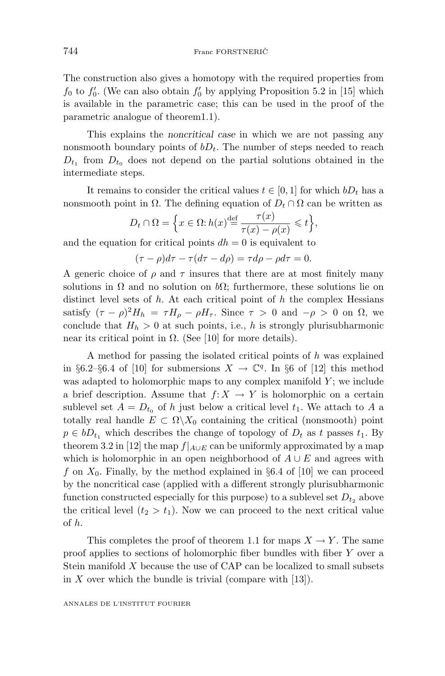The construction also gives a homotopy with the required properties from  $f_0$  to  $f'_0$ . (We can also obtain  $f'_0$  by applying Proposition 5.2 in [15] which is available in the parametric case; this can be used in the proof of the parametric analogue of theorem1.1).

This explains the *noncritical case* in which we are not passing any nonsmooth boundary points of  $bD_t$ . The number of steps needed to reach  $D_{t_1}$  from  $D_{t_0}$  does not depend on the partial solutions obtained in the intermediate steps.

It remains to consider the critical values  $t \in [0, 1]$  for which  $bD_t$  has a nonsmooth point in  $\Omega$ . The defining equation of  $D_t \cap \Omega$  can be written as

$$
D_t \cap \Omega = \left\{ x \in \Omega : h(x) \stackrel{\text{def}}{=} \frac{\tau(x)}{\tau(x) - \rho(x)} \leq t \right\},\
$$

and the equation for critical points  $dh = 0$  is equivalent to

$$
(\tau - \rho)d\tau - \tau(d\tau - d\rho) = \tau d\rho - \rho d\tau = 0.
$$

A generic choice of  $\rho$  and  $\tau$  insures that there are at most finitely many solutions in  $\Omega$  and no solution on  $b\Omega$ ; furthermore, these solutions lie on distinct level sets of *h*. At each critical point of *h* the complex Hessians satisfy  $({\tau - \rho})^2 H_h = {\tau} H_{\rho} - {\rho} H_{\tau}$ . Since  ${\tau > 0}$  and  $-{\rho > 0}$  on  $\Omega$ , we conclude that  $H_h > 0$  at such points, i.e., *h* is strongly plurisubharmonic near its critical point in  $\Omega$ . (See [10] for more details).

A method for passing the isolated critical points of *h* was explained in §6.2–§6.4 of [10] for submersions  $X \to \mathbb{C}^q$ . In §6 of [12] this method was adapted to holomorphic maps to any complex manifold *Y* ; we include a brief description. Assume that  $f: X \to Y$  is holomorphic on a certain sublevel set  $A = D_{t_0}$  of *h* just below a critical level  $t_1$ . We attach to *A* a totally real handle  $E \subset \Omega \backslash X_0$  containing the critical (nonsmooth) point  $p \in bD_t$ , which describes the change of topology of  $D_t$  as  $t$  passes  $t_1$ . By theorem 3.2 in [12] the map  $f|_{A\cup E}$  can be uniformly approximated by a map which is holomorphic in an open neighborhood of  $A \cup E$  and agrees with f on  $X_0$ . Finally, by the method explained in §6.4 of [10] we can proceed by the noncritical case (applied with a different strongly plurisubharmonic function constructed especially for this purpose) to a sublevel set  $D_{t_2}$  above the critical level  $(t_2 > t_1)$ . Now we can proceed to the next critical value of *h*.

This completes the proof of theorem 1.1 for maps  $X \to Y$ . The same proof applies to sections of holomorphic fiber bundles with fiber *Y* over a Stein manifold *X* because the use of CAP can be localized to small subsets in *X* over which the bundle is trivial (compare with [13]).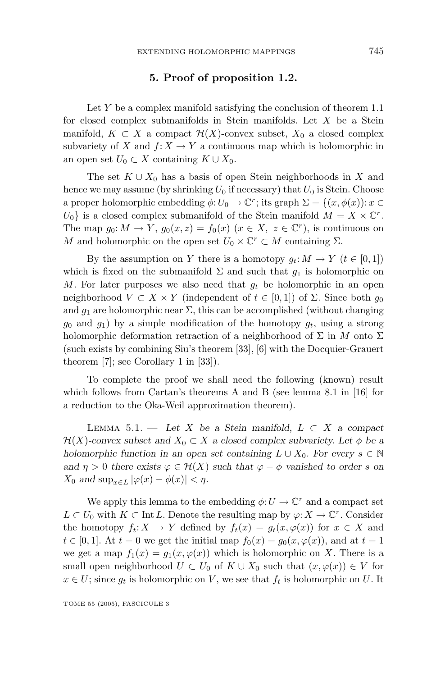#### **5. Proof of proposition 1.2.**

Let *Y* be a complex manifold satisfying the conclusion of theorem 1.1 for closed complex submanifolds in Stein manifolds. Let *X* be a Stein manifold,  $K \subset X$  a compact  $\mathcal{H}(X)$ -convex subset,  $X_0$  a closed complex subvariety of *X* and  $f: X \to Y$  a continuous map which is holomorphic in an open set  $U_0$  ⊂ *X* containing  $K \cup X_0$ .

The set  $K \cup X_0$  has a basis of open Stein neighborhoods in X and hence we may assume (by shrinking  $U_0$  if necessary) that  $U_0$  is Stein. Choose a proper holomorphic embedding  $\phi: U_0 \to \mathbb{C}^r$ ; its graph  $\Sigma = \{(x, \phi(x)) : x \in$  $U_0$  is a closed complex submanifold of the Stein manifold  $M = X \times \mathbb{C}^r$ . The map  $g_0: M \to Y$ ,  $g_0(x, z) = f_0(x)$  ( $x \in X$ ,  $z \in \mathbb{C}^r$ ), is continuous on *M* and holomorphic on the open set  $U_0 \times \mathbb{C}^r \subset M$  containing  $\Sigma$ .

By the assumption on *Y* there is a homotopy  $g_t: M \to Y$  ( $t \in [0, 1]$ ) which is fixed on the submanifold  $\Sigma$  and such that  $g_1$  is holomorphic on *M*. For later purposes we also need that *g<sup>t</sup>* be holomorphic in an open neighborhood  $V \subset X \times Y$  (independent of  $t \in [0,1]$ ) of  $\Sigma$ . Since both  $g_0$ and  $g_1$  are holomorphic near  $\Sigma$ , this can be accomplished (without changing  $g_0$  and  $g_1$ ) by a simple modification of the homotopy  $g_t$ , using a strong holomorphic deformation retraction of a neighborhood of  $\Sigma$  in *M* onto  $\Sigma$ (such exists by combining Siu's theorem [33], [6] with the Docquier-Grauert theorem [7]; see Corollary 1 in [33]).

To complete the proof we shall need the following (known) result which follows from Cartan's theorems A and B (see lemma 8.1 in [16] for a reduction to the Oka-Weil approximation theorem).

Lemma 5.1. — *Let X be a Stein manifold, L* ⊂ *X a compact*  $\mathcal{H}(X)$ -convex subset and  $X_0 \subset X$  a closed complex subvariety. Let  $\phi$  be a *holomorphic function in an open set containing*  $L \cup X_0$ *. For every*  $s \in \mathbb{N}$ *and*  $\eta > 0$  *there exists*  $\varphi \in \mathcal{H}(X)$  *such that*  $\varphi - \varphi$  *vanished to order s on*  $X_0$  *and*  $\sup_{x \in L} |\varphi(x) - \phi(x)| < \eta$ *.* 

We apply this lemma to the embedding  $\phi: U \to \mathbb{C}^r$  and a compact set *L* ⊂ *U*<sub>0</sub> with *K* ⊂ Int *L*. Denote the resulting map by  $\varphi$ : *X* →  $\mathbb{C}^r$ . Consider the homotopy  $f_t: X \to Y$  defined by  $f_t(x) = g_t(x, \varphi(x))$  for  $x \in X$  and *t* ∈ [0, 1]. At *t* = 0 we get the initial map  $f_0(x) = g_0(x, \varphi(x))$ , and at *t* = 1 we get a map  $f_1(x) = g_1(x, \varphi(x))$  which is holomorphic on X. There is a small open neighborhood  $U \subset U_0$  of  $K \cup X_0$  such that  $(x, \varphi(x)) \in V$  for  $x \in U$ ; since  $g_t$  is holomorphic on *V*, we see that  $f_t$  is holomorphic on *U*. It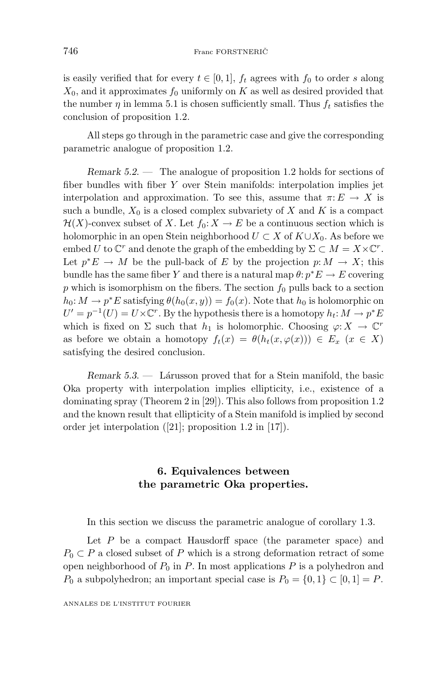is easily verified that for every  $t \in [0, 1]$ ,  $f_t$  agrees with  $f_0$  to order *s* along  $X_0$ , and it approximates  $f_0$  uniformly on  $K$  as well as desired provided that the number  $\eta$  in lemma 5.1 is chosen sufficiently small. Thus  $f_t$  satisfies the conclusion of proposition 1.2.

All steps go through in the parametric case and give the corresponding parametric analogue of proposition 1.2.

*Remark 5.2*. — The analogue of proposition 1.2 holds for sections of fiber bundles with fiber *Y* over Stein manifolds: interpolation implies jet interpolation and approximation. To see this, assume that  $\pi: E \to X$  is such a bundle,  $X_0$  is a closed complex subvariety of X and K is a compact  $\mathcal{H}(X)$ -convex subset of X. Let  $f_0: X \to E$  be a continuous section which is holomorphic in an open Stein neighborhood  $U \subset X$  of  $K \cup X_0$ . As before we embed *U* to  $\mathbb{C}^r$  and denote the graph of the embedding by  $\Sigma \subset M = X \times \mathbb{C}^r$ . Let  $p^*E \to M$  be the pull-back of *E* by the projection  $p: M \to X$ ; this bundle has the same fiber *Y* and there is a natural map  $\theta: p^*E \to E$  covering *p* which is isomorphism on the fibers. The section *f*<sup>0</sup> pulls back to a section  $h_0: M \to p^*E$  satisfying  $\theta(h_0(x, y)) = f_0(x)$ . Note that  $h_0$  is holomorphic on  $U' = p^{-1}(U) = U \times \mathbb{C}^r$ . By the hypothesis there is a homotopy  $h_t: M \to p^*E$ which is fixed on  $\Sigma$  such that  $h_1$  is holomorphic. Choosing  $\varphi: X \to \mathbb{C}^r$ as before we obtain a homotopy  $f_t(x) = \theta(h_t(x, \varphi(x))) \in E_x \ (x \in X)$ satisfying the desired conclusion.

*Remark 5.3.* — Lárusson proved that for a Stein manifold, the basic Oka property with interpolation implies ellipticity, i.e., existence of a dominating spray (Theorem 2 in [29]). This also follows from proposition 1.2 and the known result that ellipticity of a Stein manifold is implied by second order jet interpolation ([21]; proposition 1.2 in [17]).

# **6. Equivalences between the parametric Oka properties.**

In this section we discuss the parametric analogue of corollary 1.3.

Let *P* be a compact Hausdorff space (the parameter space) and  $P_0 \subset P$  a closed subset of *P* which is a strong deformation retract of some open neighborhood of  $P_0$  in  $P$ . In most applications  $P$  is a polyhedron and *P*<sup>0</sup> a subpolyhedron; an important special case is  $P_0 = \{0, 1\} \subset [0, 1] = P$ .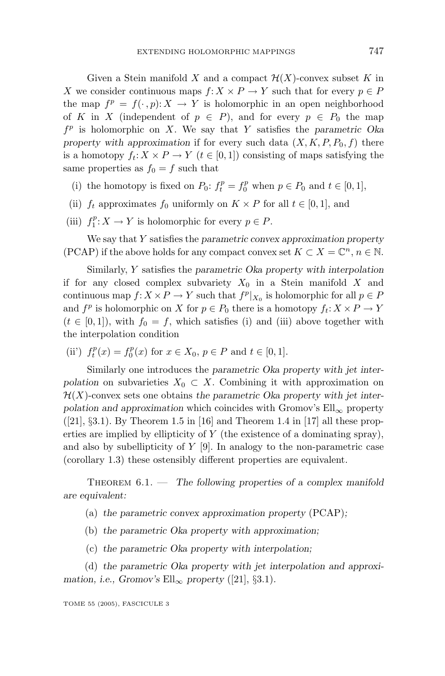Given a Stein manifold *X* and a compact  $\mathcal{H}(X)$ -convex subset *K* in *X* we consider continuous maps  $f: X \times P \to Y$  such that for every  $p \in P$ the map  $f^p = f(\cdot, p): X \to Y$  is holomorphic in an open neighborhood of *K* in *X* (independent of  $p \in P$ ), and for every  $p \in P_0$  the map *f <sup>p</sup>* is holomorphic on *X*. We say that *Y* satisfies the *parametric Oka property with approximation* if for every such data  $(X, K, P, P_0, f)$  there is a homotopy  $f_t: X \times P \to Y$  ( $t \in [0,1]$ ) consisting of maps satisfying the same properties as  $f_0 = f$  such that

- (i) the homotopy is fixed on  $P_0$ :  $f_t^p = f_0^p$  when  $p \in P_0$  and  $t \in [0, 1]$ ,
- (ii)  $f_t$  approximates  $f_0$  uniformly on  $K \times P$  for all  $t \in [0,1]$ , and
- (iii)  $f_1^p: X \to Y$  is holomorphic for every  $p \in P$ .

We say that *Y* satisfies the *parametric convex approximation property* (PCAP) if the above holds for any compact convex set  $K \subset X = \mathbb{C}^n$ ,  $n \in \mathbb{N}$ .

Similarly, *Y* satisfies the *parametric Oka property with interpolation* if for any closed complex subvariety  $X_0$  in a Stein manifold X and continuous map  $f: X \times P \to Y$  such that  $f^p|_{X_0}$  is holomorphic for all  $p \in P$ and  $f^p$  is holomorphic on *X* for  $p \in P_0$  there is a homotopy  $f_t: X \times P \to Y$  $(t \in [0, 1])$ , with  $f_0 = f$ , which satisfies (i) and (iii) above together with the interpolation condition

(ii')  $f_t^p(x) = f_0^p(x)$  for  $x \in X_0, p \in P$  and  $t \in [0, 1]$ .

Similarly one introduces the *parametric Oka property with jet interpolation* on subvarieties  $X_0 \subset X$ . Combining it with approximation on  $\mathcal{H}(X)$ -convex sets one obtains *the parametric Oka property with jet interpolation and approximation* which coincides with Gromov's Ell<sub>∞</sub> property  $([21], \S3.1)$ . By Theorem 1.5 in [16] and Theorem 1.4 in [17] all these properties are implied by ellipticity of *Y* (the existence of a dominating spray), and also by subellipticity of *Y* [9]. In analogy to the non-parametric case (corollary 1.3) these ostensibly different properties are equivalent.

THEOREM  $6.1.$  — The following properties of a complex manifold *are equivalent:*

(a) *the parametric convex approximation property* (PCAP)*;*

- (b) *the parametric Oka property with approximation;*
- (c) *the parametric Oka property with interpolation;*

(d) *the parametric Oka property with jet interpolation and approximation, i.e., Gromov's*  $Ell_{\infty}$  *property* ([21], §3.1)*.*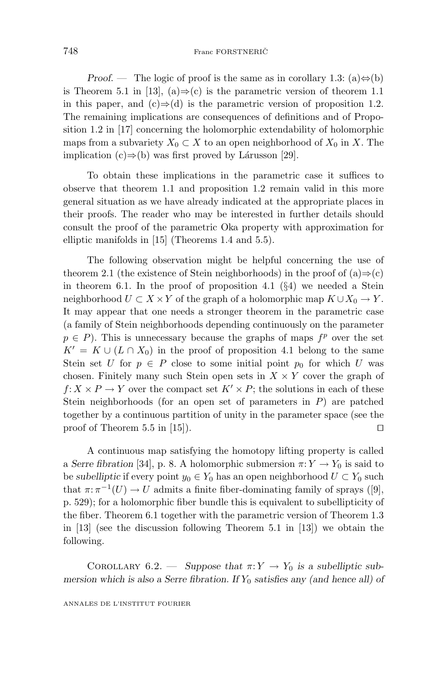*Proof.* — The logic of proof is the same as in corollary 1.3:  $(a) \Leftrightarrow (b)$ is Theorem 5.1 in [13], (a) $\Rightarrow$ (c) is the parametric version of theorem 1.1 in this paper, and  $(c) \Rightarrow (d)$  is the parametric version of proposition 1.2. The remaining implications are consequences of definitions and of Proposition 1.2 in [17] concerning the holomorphic extendability of holomorphic maps from a subvariety  $X_0 \subset X$  to an open neighborhood of  $X_0$  in X. The implication  $(c) \Rightarrow (b)$  was first proved by Lárusson [29].

To obtain these implications in the parametric case it suffices to observe that theorem 1.1 and proposition 1.2 remain valid in this more general situation as we have already indicated at the appropriate places in their proofs. The reader who may be interested in further details should consult the proof of the parametric Oka property with approximation for elliptic manifolds in [15] (Theorems 1.4 and 5.5).

The following observation might be helpful concerning the use of theorem 2.1 (the existence of Stein neighborhoods) in the proof of  $(a) \Rightarrow (c)$ in theorem 6.1. In the proof of proposition 4.1  $(\S 4)$  we needed a Stein neighborhood  $U \subset X \times Y$  of the graph of a holomorphic map  $K \cup X_0 \to Y$ . It may appear that one needs a stronger theorem in the parametric case (a family of Stein neighborhoods depending continuously on the parameter  $p \in P$ ). This is unnecessary because the graphs of maps  $f^p$  over the set  $K' = K \cup (L \cap X_0)$  in the proof of proposition 4.1 belong to the same Stein set *U* for  $p \in P$  close to some initial point  $p_0$  for which *U* was chosen. Finitely many such Stein open sets in  $X \times Y$  cover the graph of  $f: X \times P \to Y$  over the compact set  $K' \times P$ ; the solutions in each of these Stein neighborhoods (for an open set of parameters in *P*) are patched together by a continuous partition of unity in the parameter space (see the proof of Theorem 5.5 in [15]).

A continuous map satisfying the homotopy lifting property is called a *Serre fibration* [34], p. 8. A holomorphic submersion  $\pi: Y \to Y_0$  is said to be *subelliptic* if every point  $y_0 \in Y_0$  has an open neighborhood  $U \subset Y_0$  such that  $\pi: \pi^{-1}(U) \to U$  admits a finite fiber-dominating family of sprays ([9], p. 529); for a holomorphic fiber bundle this is equivalent to subellipticity of the fiber. Theorem 6.1 together with the parametric version of Theorem 1.3 in [13] (see the discussion following Theorem 5.1 in [13]) we obtain the following.

COROLLARY  $6.2.$  — *Suppose that*  $\pi: Y \to Y_0$  *is a subelliptic submersion which is also a Serre fibration. If Y*<sup>0</sup> *satisfies any (and hence all) of*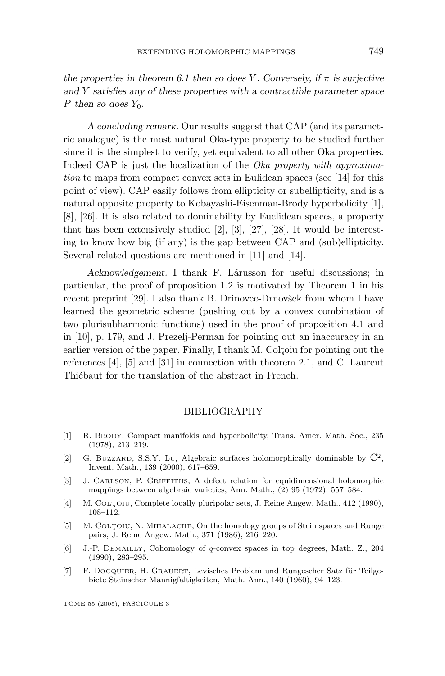*the properties in theorem 6.1 then so does Y. Conversely, if*  $\pi$  *is surjective and Y satisfies any of these properties with a contractible parameter space P* then so does  $Y_0$ *.* 

*A concluding remark.* Our results suggest that CAP (and its parametric analogue) is the most natural Oka-type property to be studied further since it is the simplest to verify, yet equivalent to all other Oka properties. Indeed CAP is just the localization of the *Oka property with approxima*tion to maps from compact convex sets in Eulidean spaces (see [14] for this point of view). CAP easily follows from ellipticity or subellipticity, and is a natural opposite property to Kobayashi-Eisenman-Brody hyperbolicity [1], [8], [26]. It is also related to dominability by Euclidean spaces, a property that has been extensively studied [2], [3], [27], [28]. It would be interesting to know how big (if any) is the gap between CAP and (sub)ellipticity. Several related questions are mentioned in [11] and [14].

Acknowledgement. I thank F. Lárusson for useful discussions; in particular, the proof of proposition 1.2 is motivated by Theorem 1 in his recent preprint [29]. I also thank B. Drinovec-Drnovšek from whom I have learned the geometric scheme (pushing out by a convex combination of two plurisubharmonic functions) used in the proof of proposition 4.1 and in [10], p. 179, and J. Prezelj-Perman for pointing out an inaccuracy in an earlier version of the paper. Finally, I thank M. Coltoiu for pointing out the references [4], [5] and [31] in connection with theorem 2.1, and C. Laurent Thiébaut for the translation of the abstract in French.

#### BIBLIOGRAPHY

- [1] R. BRODY, Compact manifolds and hyperbolicity, Trans. Amer. Math. Soc., 235 (1978), 213–219.
- [2] G. BUZZARD, S.S.Y. LU, Algebraic surfaces holomorphically dominable by  $\mathbb{C}^2$ , Invent. Math., 139 (2000), 617–659.
- [3] J. CARLSON, P. GRIFFITHS, A defect relation for equidimensional holomorphic mappings between algebraic varieties, Ann. Math., (2) 95 (1972), 557–584.
- [4] M. COLTOIU, Complete locally pluripolar sets, J. Reine Angew. Math., 412 (1990), 108–112.
- [5] M. COLTOIU, N. MIHALACHE, On the homology groups of Stein spaces and Runge pairs, J. Reine Angew. Math., 371 (1986), 216–220.
- [6] J.-P. DEMAILLY, Cohomology of q-convex spaces in top degrees, Math. Z., 204 (1990), 283–295.
- [7] F. DOCQUIER, H. GRAUERT, Levisches Problem und Rungescher Satz für Teilgebiete Steinscher Mannigfaltigkeiten, Math. Ann., 140 (1960), 94–123.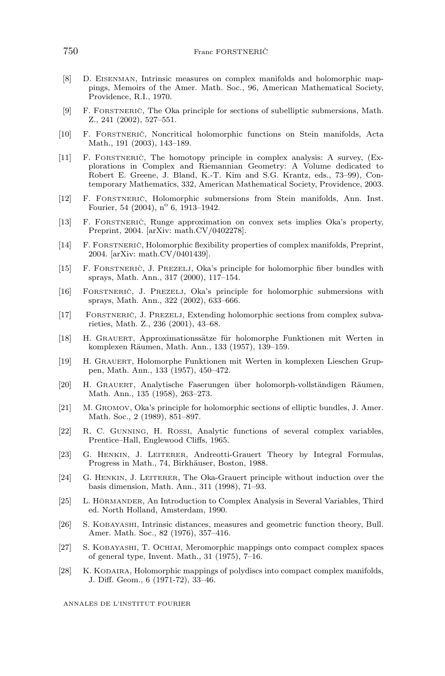- [8] D. EISENMAN, Intrinsic measures on complex manifolds and holomorphic mappings, Memoirs of the Amer. Math. Soc., 96, American Mathematical Society, Providence, R.I., 1970.
- [9] F. FORSTNERIC̆, The Oka principle for sections of subelliptic submersions, Math. Z., 241 (2002), 527–551.
- [10] F. FORSTNERICˇ, Noncritical holomorphic functions on Stein manifolds, Acta Math., 191 (2003), 143–189.
- [11] F. FORSTNERIC`, The homotopy principle in complex analysis: A survey, (Explorations in Complex and Riemannian Geometry: A Volume dedicated to Robert E. Greene, J. Bland, K.-T. Kim and S.G. Krantz, eds., 73–99), Contemporary Mathematics, 332, American Mathematical Society, Providence, 2003.
- [12] F. FORSTNERIC̈, Holomorphic submersions from Stein manifolds, Ann. Inst. Fourier, 54 (2004),  $n^{\circ}$  6, 1913–1942.
- [13] F. FORSTNERIČ, Runge approximation on convex sets implies Oka's property, Preprint, 2004. [arXiv: math.CV/0402278].
- [14] F. FORSTNERIC̆, Holomorphic flexibility properties of complex manifolds, Preprint, 2004. [arXiv: math.CV/0401439].
- [15] F. FORSTNERIČ, J. PREZELJ, Oka's principle for holomorphic fiber bundles with sprays, Math. Ann., 317 (2000), 117–154.
- [16] FORSTNERICˇ, J. PREZELJ, Oka's principle for holomorphic submersions with sprays, Math. Ann., 322 (2002), 633–666.
- [17] FORSTNERIC̆, J. PREZELJ, Extending holomorphic sections from complex subvarieties, Math. Z., 236 (2001), 43–68.
- [18] H. GRAUERT, Approximationssätze für holomorphe Funktionen mit Werten in komplexen Räumen, Math. Ann., 133 (1957), 139–159.
- [19] H. GRAUERT, Holomorphe Funktionen mit Werten in komplexen Lieschen Gruppen, Math. Ann., 133 (1957), 450–472.
- [20] H. GRAUERT, Analytische Faserungen über holomorph-vollständigen Räumen, Math. Ann., 135 (1958), 263–273.
- [21] M. GROMOV, Oka's principle for holomorphic sections of elliptic bundles, J. Amer. Math. Soc., 2 (1989), 851–897.
- [22] R. C. GUNNING, H. ROSSI, Analytic functions of several complex variables, Prentice–Hall, Englewood Cliffs, 1965.
- [23] G. HENKIN, J. LEITERER, Andreotti-Grauert Theory by Integral Formulas, Progress in Math., 74, Birkhäuser, Boston, 1988.
- [24] G. HENKIN, J. LEITERER, The Oka-Grauert principle without induction over the basis dimension, Math. Ann., 311 (1998), 71–93.
- [25] L. HÖRMANDER, An Introduction to Complex Analysis in Several Variables, Third ed. North Holland, Amsterdam, 1990.
- [26] S. KOBAYASHI, Intrinsic distances, measures and geometric function theory, Bull. Amer. Math. Soc., 82 (1976), 357–416.
- [27] S. KOBAYASHI, T. OCHIAI, Meromorphic mappings onto compact complex spaces of general type, Invent. Math., 31 (1975), 7–16.
- [28] K. KODAIRA, Holomorphic mappings of polydiscs into compact complex manifolds, J. Diff. Geom., 6 (1971-72), 33–46.